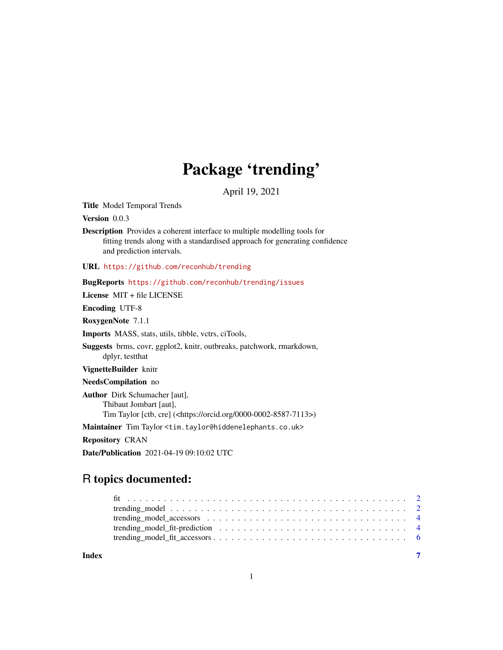# Package 'trending'

April 19, 2021

<span id="page-0-0"></span>Title Model Temporal Trends

Version 0.0.3

Description Provides a coherent interface to multiple modelling tools for fitting trends along with a standardised approach for generating confidence and prediction intervals.

URL <https://github.com/reconhub/trending>

# BugReports <https://github.com/reconhub/trending/issues>

License MIT + file LICENSE

Encoding UTF-8

RoxygenNote 7.1.1

Imports MASS, stats, utils, tibble, vctrs, ciTools,

Suggests brms, covr, ggplot2, knitr, outbreaks, patchwork, rmarkdown, dplyr, testthat

VignetteBuilder knitr

NeedsCompilation no

Author Dirk Schumacher [aut], Thibaut Jombart [aut], Tim Taylor [ctb, cre] (<https://orcid.org/0000-0002-8587-7113>)

Maintainer Tim Taylor <tim.taylor@hiddenelephants.co.uk>

Repository CRAN

Date/Publication 2021-04-19 09:10:02 UTC

# R topics documented:

| Index |  |
|-------|--|
|       |  |
|       |  |
|       |  |
|       |  |
|       |  |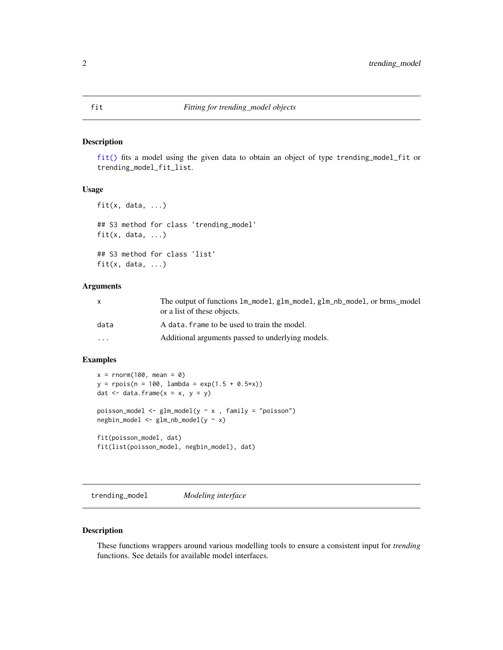#### <span id="page-1-4"></span><span id="page-1-1"></span><span id="page-1-0"></span>Description

[fit\(\)](#page-1-1) fits a model using the given data to obtain an object of type trending\_model\_fit or trending\_model\_fit\_list.

### Usage

```
fit(x, data, ...)## S3 method for class 'trending_model'
fit(x, data, ...)
## S3 method for class 'list'
fit(x, data, ...)
```
#### Arguments

| X        | The output of functions lm_model, glm_model, glm_nb_model, or brms model<br>or a list of these objects. |
|----------|---------------------------------------------------------------------------------------------------------|
| data     | A data. frame to be used to train the model.                                                            |
| $\cdots$ | Additional arguments passed to underlying models.                                                       |

#### Examples

```
x = rnorm(100, mean = 0)y = \text{rpois}(n = 100, \text{ lambda} = \exp(1.5 + 0.5 \cdot x))dat \leq data.frame(x = x, y = y)
poisson_model <- glm\_model(y \sim x, family = "poisson")
negbin_model <- glm_nb_model(y ~ x)
fit(poisson_model, dat)
fit(list(poisson_model, negbin_model), dat)
```
<span id="page-1-3"></span>trending\_model *Modeling interface*

#### <span id="page-1-2"></span>Description

These functions wrappers around various modelling tools to ensure a consistent input for *trending* functions. See details for available model interfaces.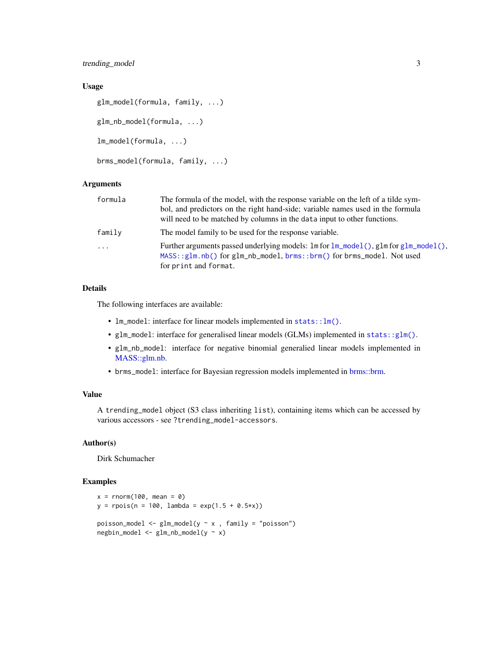<span id="page-2-0"></span>trending\_model 3

#### Usage

```
glm_model(formula, family, ...)
glm_nb_model(formula, ...)
lm_model(formula, ...)
brms_model(formula, family, ...)
```
#### Arguments

| formula  | The formula of the model, with the response variable on the left of a tilde sym-                                                                                                             |
|----------|----------------------------------------------------------------------------------------------------------------------------------------------------------------------------------------------|
|          | bol, and predictors on the right hand-side; variable names used in the formula                                                                                                               |
|          | will need to be matched by columns in the data input to other functions.                                                                                                                     |
| family   | The model family to be used for the response variable.                                                                                                                                       |
| $\cdots$ | Further arguments passed underlying models: $\ln$ for $\ln\text{model}($ , $\text{g1m}$ for $\text{g1m}$ model(),<br>$MASS::glm.nb()$ for glm_nb_model, brms::brm() for brms_model. Not used |
|          | for print and format.                                                                                                                                                                        |

# Details

The following interfaces are available:

- lm\_model: interface for linear models implemented in [stats::lm\(\)](#page-0-0).
- glm\_model: interface for generalised linear models (GLMs) implemented in [stats::glm\(\)](#page-0-0).
- glm\_nb\_model: interface for negative binomial generalied linear models implemented in [MASS::glm.nb.](#page-0-0)
- brms\_model: interface for Bayesian regression models implemented in [brms::brm.](#page-0-0)

#### Value

A trending\_model object (S3 class inheriting list), containing items which can be accessed by various accessors - see ?trending\_model-accessors.

# Author(s)

Dirk Schumacher

#### Examples

```
x = rnorm(100, mean = 0)y = \text{rpois}(n = 100, \text{ lambda} = \exp(1.5 + 0.5 \times x))poisson_model <- glm\_model(y \sim x, family = "poisson")
negbin_model <- glm_nb_model(y ~ x)
```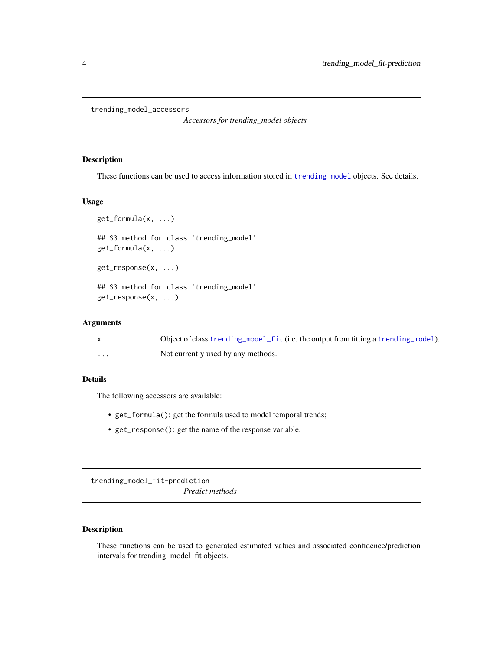```
trending_model_accessors
```
*Accessors for trending\_model objects*

#### Description

These functions can be used to access information stored in [trending\\_model](#page-1-3) objects. See details.

#### Usage

```
get_formula(x, ...)
## S3 method for class 'trending_model'
get_formula(x, ...)
get_response(x, ...)
## S3 method for class 'trending_model'
get_response(x, ...)
```
#### Arguments

|          | Object of class trending_model_fit (i.e. the output from fitting a trending_model). |
|----------|-------------------------------------------------------------------------------------|
| $\cdots$ | Not currently used by any methods.                                                  |

#### Details

The following accessors are available:

- get\_formula(): get the formula used to model temporal trends;
- get\_response(): get the name of the response variable.

trending\_model\_fit-prediction *Predict methods*

# Description

These functions can be used to generated estimated values and associated confidence/prediction intervals for trending\_model\_fit objects.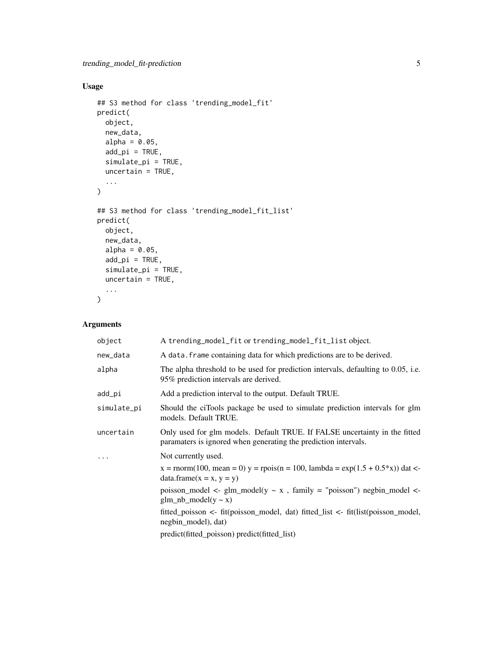# Usage

```
## S3 method for class 'trending_model_fit'
predict(
 object,
 new_data,
 alpha = 0.05,
  add\_pi = TRUE,simulate_pi = TRUE,
 uncertain = TRUE,...
\mathcal{L}## S3 method for class 'trending_model_fit_list'
predict(
 object,
 new_data,
 alpha = 0.05,
 add\_pi = TRUE,simulate_pi = TRUE,
 uncertain = TRUE,
  ...
)
```
# Arguments

| object      | A trending_model_fit or trending_model_fit_list object.                                                                                       |
|-------------|-----------------------------------------------------------------------------------------------------------------------------------------------|
| new_data    | A data. frame containing data for which predictions are to be derived.                                                                        |
| alpha       | The alpha threshold to be used for prediction intervals, defaulting to 0.05, i.e.<br>95% prediction intervals are derived.                    |
| add_pi      | Add a prediction interval to the output. Default TRUE.                                                                                        |
| simulate_pi | Should the citools package be used to simulate prediction intervals for glm<br>models. Default TRUE.                                          |
| uncertain   | Only used for glm models. Default TRUE. If FALSE uncertainty in the fitted<br>paramaters is ignored when generating the prediction intervals. |
| .           | Not currently used.                                                                                                                           |
|             | x = rnorm(100, mean = 0) y = rpois(n = 100, lambda = $\exp(1.5 + 0.5 \cdot x)$ ) dat <-<br>$data-frame(x = x, y = y)$                         |
|             | poisson_model <- glm_model(y $\sim$ x, family = "poisson") negbin_model <-<br>$glm_n b_model(y \sim x)$                                       |
|             | fitted_poisson <- fit(poisson_model, dat) fitted_list <- fit(list(poisson_model,<br>negbin_model), dat)                                       |
|             | predict(fitted_poisson) predict(fitted_list)                                                                                                  |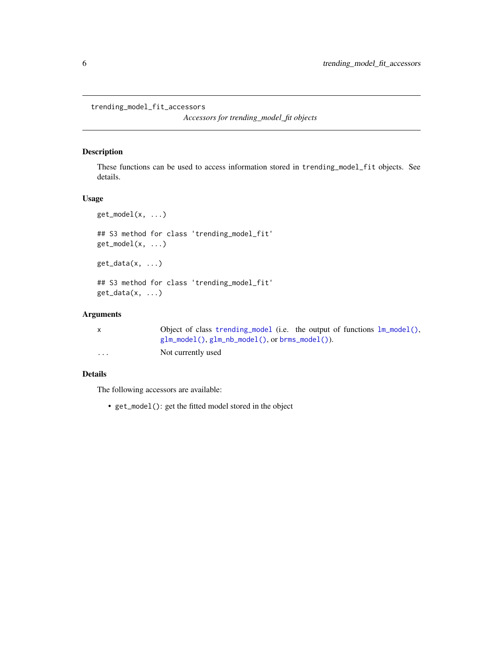<span id="page-5-0"></span>trending\_model\_fit\_accessors

*Accessors for trending\_model\_fit objects*

# Description

These functions can be used to access information stored in trending\_model\_fit objects. See details.

# Usage

```
get_model(x, \ldots)## S3 method for class 'trending_model_fit'
get_model(x, ...)
get_data(x, ...)
## S3 method for class 'trending_model_fit'
get_data(x, ...)
```
# Arguments

|                         | Object of class trending model (i.e. the output of functions $lm_{model}($ ), |
|-------------------------|-------------------------------------------------------------------------------|
|                         | $glm_{model}()$ , $glm_{nb_{model}}()$ , or $brms_{model()})$ .               |
| $\cdot$ $\cdot$ $\cdot$ | Not currently used                                                            |

#### Details

The following accessors are available:

• get\_model(): get the fitted model stored in the object